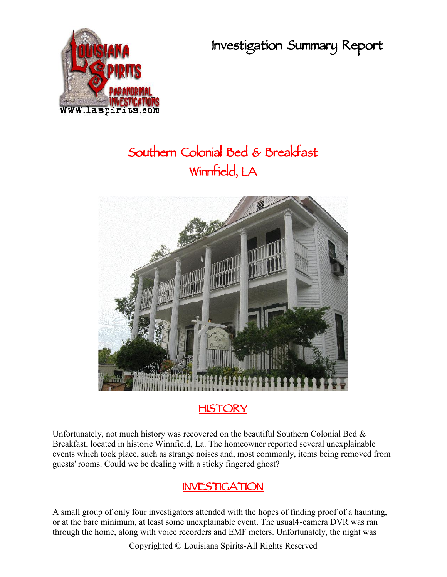**Investigation Summary Report**



## **Southern Colonial Bed & Breakfast Winnfield, LA**



## **HISTORY**

Unfortunately, not much history was recovered on the beautiful Southern Colonial Bed  $\&$ Breakfast, located in historic Winnfield, La. The homeowner reported several unexplainable events which took place, such as strange noises and, most commonly, items being removed from guests' rooms. Could we be dealing with a sticky fingered ghost?

## **INVESTIGATION**

A small group of only four investigators attended with the hopes of finding proof of a haunting, or at the bare minimum, at least some unexplainable event. The usual4-camera DVR was ran through the home, along with voice recorders and EMF meters. Unfortunately, the night was

Copyrighted © Louisiana Spirits-All Rights Reserved